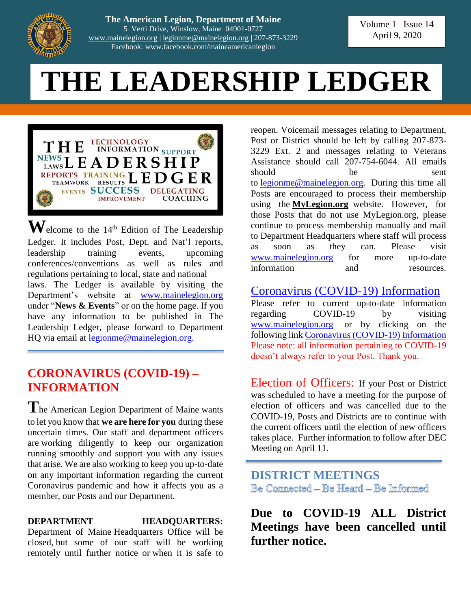

**The American Legion, Department of Maine** 5 Verti Drive, Winslow, Maine 04901-0727 [www.mainelegion.org](http://www.mainelegion.org/) | [legionme@mainelegion.org](mailto:legionme@mainelegion.org) | 207-873-3229 Facebook: www.facebook.com/maineamericanlegion

Volume 1 Issue 14 April 9, 2020

# **THE LEADERSHIP LEDGER**



 $\mathbf{W}$ elcome to the 14<sup>th</sup> Edition of The Leadership Ledger. It includes Post, Dept. and Nat'l reports, leadership training events, upcoming conferences/conventions as well as rules and regulations pertaining to local, state and national laws. The Ledger is available by visiting the Department's website at [www.mainelegion.org](http://www.mainelegion.org/) under "**News & Events**" or on the home page. If you have any information to be published in The Leadership Ledger, please forward to Department HQ via email at <u>legionme@mainelegion.org.</u>

## **CORONAVIRUS (COVID-19) – INFORMATION**

**T**he American Legion Department of Maine wants to let you know that **we are here for you** during these uncertain times. Our staff and department officers are working diligently to keep our organization running smoothly and support you with any issues that arise. We are also working to keep you up-to-date on any important information regarding the current Coronavirus pandemic and how it affects you as a member, our Posts and our Department.

#### **DEPARTMENT HEADQUARTERS:**

Department of Maine Headquarters Office will be closed, but some of our staff will be working remotely until further notice or when it is safe to

reopen. Voicemail messages relating to Department, Post or District should be left by calling 207-873- 3229 Ext. 2 and messages relating to Veterans Assistance should call 207-754-6044. All emails should be sent to [legionme@mainelegion.org.](mailto:legionme@mainelegion.org) During this time all Posts are encouraged to process their membership using the **[MyLegion.org](http://www.mylegion.org/)** website. However, for those Posts that do not use MyLegion.org, please continue to process membership manually and mail to Department Headquarters where staff will process as soon as they can. Please visit [www.mainelegion.org](http://www.mainelegion.org/) for more up-to-date information and resources.

#### [Coronavirus \(COVID-19\) Information](http://www.mainelegion.org/pages/news-events/covid-19-info.php)

Please refer to current up-to-date information regarding COVID-19 by visiting [www.mainelegion.org](http://www.mainelegion.org/) or by clicking on the following link [Coronavirus \(COVID-19\) Information](http://www.mainelegion.org/pages/news-events/covid-19-info.php) Please note: all information pertaining to COVID-19 doesn't always refer to your Post. Thank you.

Election of Officers: If your Post or District was scheduled to have a meeting for the purpose of election of officers and was cancelled due to the COVID-19, Posts and Districts are to continue with the current officers until the election of new officers takes place. Further information to follow after DEC Meeting on April 11.

**DISTRICT MEETINGS** Be Connected – Be Heard – Be Informed

**Due to COVID-19 ALL District Meetings have been cancelled until further notice.**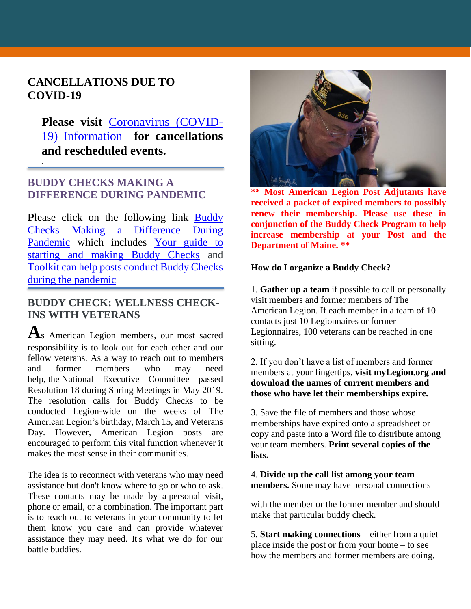#### **CANCELLATIONS DUE TO COVID-19**

*.*

**Please visit** [Coronavirus \(COVID-](http://www.mainelegion.org/pages/news-events/covid-19-info.php)[19\) Information](http://www.mainelegion.org/pages/news-events/covid-19-info.php) **for cancellations and rescheduled events.** 

#### **BUDDY CHECKS MAKING A DIFFERENCE DURING PANDEMIC**

Please click on the following link **Buddy** [Checks Making a Difference During](https://editor.legionemail.com/vo/?FileID=92a4f0e0-b642-4e44-adcc-173407caded1&m=82d0e11f-f596-41f0-a960-9e19840f46df&MailID=39372314&listid=84772&RecipientID=19142040036)  [Pandemic](https://editor.legionemail.com/vo/?FileID=92a4f0e0-b642-4e44-adcc-173407caded1&m=82d0e11f-f596-41f0-a960-9e19840f46df&MailID=39372314&listid=84772&RecipientID=19142040036) which includes [Your guide to](https://www.legion.org/membership/248690/your-guide-starting-and-making-buddy-checks)  [starting and making Buddy Checks](https://www.legion.org/membership/248690/your-guide-starting-and-making-buddy-checks) and [Toolkit can help posts conduct Buddy Checks](https://www.legion.org/membership/248657/toolkit-can-help-posts-conduct-buddy-checks-during-pandemic)  [during the pandemic](https://www.legion.org/membership/248657/toolkit-can-help-posts-conduct-buddy-checks-during-pandemic)

#### **BUDDY CHECK: WELLNESS CHECK-INS WITH VETERANS**

**A**s American Legion members, our most sacred responsibility is to look out for each other and our fellow veterans. As a way to reach out to members and former members who may need help, the National Executive Committee passed Resolution 18 during Spring Meetings in May 2019. The resolution calls for Buddy Checks to be conducted Legion-wide on the weeks of The American Legion's birthday, March 15, and Veterans Day. However, American Legion posts are encouraged to perform this vital function whenever it makes the most sense in their communities.

The idea is to reconnect with veterans who may need assistance but don't know where to go or who to ask. These contacts may be made by a personal visit, phone or email, or a combination. The important part is to reach out to veterans in your community to let them know you care and can provide whatever assistance they may need. It's what we do for our battle buddies.



**\*\* Most American Legion Post Adjutants have received a packet of expired members to possibly renew their membership. Please use these in conjunction of the Buddy Check Program to help increase membership at your Post and the Department of Maine. \*\***

#### **How do I organize a Buddy Check?**

1. **Gather up a team** if possible to call or personally visit members and former members of The American Legion. If each member in a team of 10 contacts just 10 Legionnaires or former Legionnaires, 100 veterans can be reached in one sitting.

2. If you don't have a list of members and former members at your fingertips, **visit myLegion.org and download the names of current members and those who have let their memberships expire.**

3. Save the file of members and those whose memberships have expired onto a spreadsheet or copy and paste into a Word file to distribute among your team members. **Print several copies of the lists.**

4. **Divide up the call list among your team members.** Some may have personal connections

with the member or the former member and should make that particular buddy check.

5. **Start making connections** – either from a quiet place inside the post or from your home – to see how the members and former members are doing,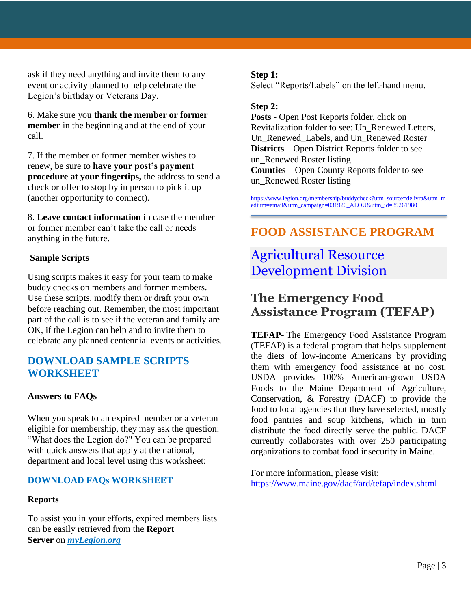ask if they need anything and invite them to any event or activity planned to help celebrate the Legion's birthday or Veterans Day.

6. Make sure you **thank the member or former member** in the beginning and at the end of your call.

7. If the member or former member wishes to renew, be sure to **have your post's payment procedure at your fingertips,** the address to send a check or offer to stop by in person to pick it up (another opportunity to connect).

8. **Leave contact information** in case the member or former member can't take the call or needs anything in the future.

#### **Sample Scripts**

Using scripts makes it easy for your team to make buddy checks on members and former members. Use these scripts, modify them or draft your own before reaching out. Remember, the most important part of the call is to see if the veteran and family are OK, if the Legion can help and to invite them to celebrate any planned centennial events or activities.

#### **[DOWNLOAD SAMPLE SCRIPTS](https://www.legion.org/publications/247460/buddy-check-event-toolkit)  [WORKSHEET](https://www.legion.org/publications/247460/buddy-check-event-toolkit)**

#### **Answers to FAQs**

When you speak to an expired member or a veteran eligible for membership, they may ask the question: "What does the Legion do?" You can be prepared with quick answers that apply at the national, department and local level using this worksheet:

#### **[DOWNLOAD FAQs WORKSHEET](https://www.legion.org/sites/legion.org/files/legion/documents/Buddy%20Check%20FAQs.pdf)**

#### **Reports**

To assist you in your efforts, expired members lists can be easily retrieved from the **Report Server** on *[myLegion.org](http://www.mylegion.org/)*

#### **Step 1:**

Select "Reports/Labels" on the left-hand menu.

#### **Step 2:**

**Posts** - Open Post Reports folder, click on Revitalization folder to see: Un\_Renewed Letters, Un\_Renewed\_Labels, and Un\_Renewed Roster **Districts** – Open District Reports folder to see un\_Renewed Roster listing **Counties** – Open County Reports folder to see un Renewed Roster listing

[https://www.legion.org/membership/buddycheck?utm\\_source=delivra&utm\\_m](https://www.legion.org/membership/buddycheck?utm_source=delivra&utm_medium=email&utm_campaign=031920_ALOU&utm_id=39261980) [edium=email&utm\\_campaign=031920\\_ALOU&utm\\_id=39261980](https://www.legion.org/membership/buddycheck?utm_source=delivra&utm_medium=email&utm_campaign=031920_ALOU&utm_id=39261980)

## **FOOD ASSISTANCE PROGRAM**

## [Agricultural Resource](https://www.maine.gov/dacf/ard/tefap/index.shtml)  [Development Division](https://www.maine.gov/dacf/ard/tefap/index.shtml)

## **The Emergency Food Assistance Program (TEFAP)**

**TEFAP-** The Emergency Food Assistance Program (TEFAP) is a federal program that helps supplement the diets of low-income Americans by providing them with emergency food assistance at no cost. USDA provides 100% American-grown USDA Foods to the Maine Department of Agriculture, Conservation, & Forestry (DACF) to provide the food to local agencies that they have selected, mostly food pantries and soup kitchens, which in turn distribute the food directly serve the public. DACF currently collaborates with over 250 participating organizations to combat food insecurity in Maine.

For more information, please visit: <https://www.maine.gov/dacf/ard/tefap/index.shtml>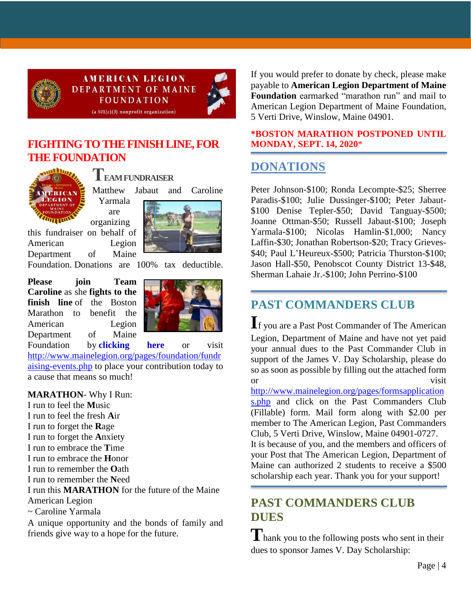

**AMERICAN LEGION DEPARTMENT OF MAINE FOUNDATION** 



 $(a 501(c)(3)$  nonprofit organization)

#### **[FIGHTING TO THE FINISH LINE, FOR](https://www.gofundme.com/f/5hx779-a-cause-i-care-about-needs-help?utm_source=customer&utm_medium=copy_link&utm_campaign=p_cf+share-flow-1)  [THE FOUNDATION](https://www.gofundme.com/f/5hx779-a-cause-i-care-about-needs-help?utm_source=customer&utm_medium=copy_link&utm_campaign=p_cf+share-flow-1)**



**TEAM FUNDRAISER** Matthew Jabaut and Caroline Yarmala are

organizing this fundraiser on behalf of American Legion Department of Maine



Foundation. Donations are 100% tax deductible.

**Please join Team Caroline** as she **fights to the finish line** of the Boston Marathon to benefit the American Legion Department of Maine



Foundation by **[clicking here](https://www.gofundme.com/f/5hx779-a-cause-i-care-about-needs-help?utm_source=customer&utm_medium=copy_link&utm_campaign=p_cf+share-flow-1)** or visit [http://www.mainelegion.org/pages/foundation/fundr](http://www.mainelegion.org/pages/foundation/fundraising-events.php) [aising-events.php](http://www.mainelegion.org/pages/foundation/fundraising-events.php) to place your contribution today to a cause that means so much!

#### **MARATHON**- Why I Run:

I run to feel the **M**usic I run to feel the fresh **A**ir I run to forget the **R**age I run to forget the **A**nxiety I run to embrace the **T**ime I run to embrace the **H**onor I run to remember the **O**ath I run to remember the **N**eed I run this **MARATHON** for the future of the Maine American Legion ~ Caroline Yarmala A unique opportunity and the bonds of family and friends give way to a hope for the future.

If you would prefer to donate by check, please make payable to **American Legion Department of Maine Foundation** earmarked "marathon run" and mail to American Legion Department of Maine Foundation, 5 Verti Drive, Winslow, Maine 04901.

#### **\*BOSTON MARATHON POSTPONED UNTIL MONDAY, SEPT. 14, 2020**\*

## **DONATIONS**

Peter Johnson-\$100; Ronda Lecompte-\$25; Sherree Paradis-\$100; Julie Dussinger-\$100; Peter Jabaut- \$100 Denise Tepler-\$50; David Tanguay-\$500; Joanne Ottman-\$50; Russell Jabaut-\$100; Joseph Yarmala-\$100; Nicolas Hamlin-\$1,000; Nancy Laffin-\$30; Jonathan Robertson-\$20; Tracy Grieves- \$40; Paul L'Heureux-\$500; Patricia Thurston-\$100; Jason Hall-\$50, Penobscot County District 13-\$48, Sherman Lahaie Jr.-\$100; John Perrino-\$100

## **PAST COMMANDERS CLUB**

**I**f you are a Past Post Commander of The American Legion, Department of Maine and have not yet paid your annual dues to the Past Commander Club in support of the James V. Day Scholarship, please do so as soon as possible by filling out the attached form or visit

[http://www.mainelegion.org/pages/formsapplication](http://www.mainelegion.org/pages/formsapplications.php) [s.php](http://www.mainelegion.org/pages/formsapplications.php) and click on the Past Commanders Club (Fillable) form. Mail form along with \$2.00 per member to The American Legion, Past Commanders Club, 5 Verti Drive, Winslow, Maine 04901-0727.

It is because of you, and the members and officers of your Post that The American Legion, Department of Maine can authorized 2 students to receive a \$500 scholarship each year. Thank you for your support!

## **PAST COMMANDERS CLUB DUES**

Thank you to the following posts who sent in their dues to sponsor James V. Day Scholarship: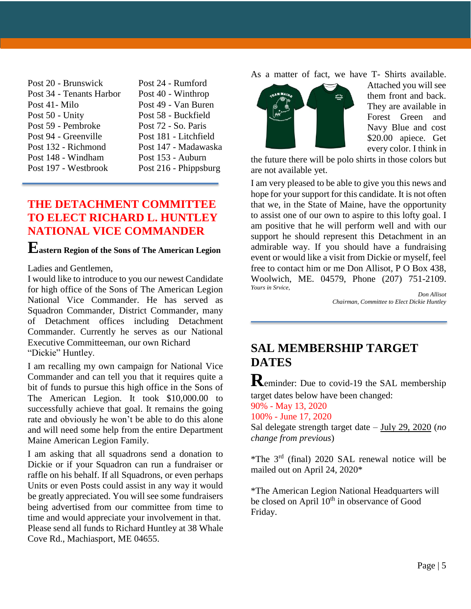| Post 24 - Rumford     |
|-----------------------|
| Post 40 - Winthrop    |
| Post 49 - Van Buren   |
| Post 58 - Buckfield   |
| Post 72 - So. Paris   |
| Post 181 - Litchfield |
| Post 147 - Madawaska  |
| Post 153 - Auburn     |
| Post 216 - Phippsburg |
|                       |

#### **THE DETACHMENT COMMITTEE TO ELECT RICHARD L. HUNTLEY NATIONAL VICE COMMANDER**

## **Eastern Region of the Sons of The American Legion**

Ladies and Gentlemen,

I would like to introduce to you our newest Candidate for high office of the Sons of The American Legion National Vice Commander. He has served as Squadron Commander, District Commander, many of Detachment offices including Detachment Commander. Currently he serves as our National Executive Committeeman, our own Richard "Dickie" Huntley.

I am recalling my own campaign for National Vice Commander and can tell you that it requires quite a bit of funds to pursue this high office in the Sons of The American Legion. It took \$10,000.00 to successfully achieve that goal. It remains the going rate and obviously he won't be able to do this alone and will need some help from the entire Department Maine American Legion Family.

I am asking that all squadrons send a donation to Dickie or if your Squadron can run a fundraiser or raffle on his behalf. If all Squadrons, or even perhaps Units or even Posts could assist in any way it would be greatly appreciated. You will see some fundraisers being advertised from our committee from time to time and would appreciate your involvement in that. Please send all funds to Richard Huntley at 38 Whale Cove Rd., Machiasport, ME 04655.

As a matter of fact, we have T- Shirts available.



Attached you will see them front and back. They are available in Forest Green and Navy Blue and cost \$20.00 apiece. Get every color. I think in

the future there will be polo shirts in those colors but are not available yet.

I am very pleased to be able to give you this news and hope for your support for this candidate. It is not often that we, in the State of Maine, have the opportunity to assist one of our own to aspire to this lofty goal. I am positive that he will perform well and with our support he should represent this Detachment in an admirable way. If you should have a fundraising event or would like a visit from Dickie or myself, feel free to contact him or me Don Allisot, P O Box 438, Woolwich, ME. 04579, Phone (207) 751-2109. *Yours in Srvice,*

*Don Allisot Chairman, Committee to Elect Dickie Huntley*

## **SAL MEMBERSHIP TARGET DATES**

**R**eminder: Due to covid-19 the SAL membership target dates below have been changed:

90% - May 13, 2020

100% - June 17, 2020

Sal delegate strength target date – July 29, 2020 (*no change from previous*)

\*The 3rd (final) 2020 SAL renewal notice will be mailed out on April 24, 2020\*

\*The American Legion National Headquarters will be closed on April  $10^{th}$  in observance of Good Friday.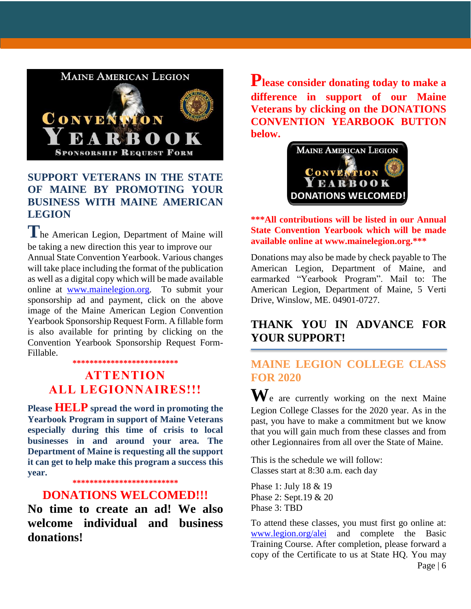

### **SUPPORT VETERANS IN THE STATE OF MAINE BY PROMOTING YOUR BUSINESS WITH MAINE AMERICAN LEGION**

**T**he American Legion, Department of Maine will be taking a new direction this year to improve our Annual State Convention Yearbook. Various changes will take place including the format of the publication as well as a digital copy which will be made available online at [www.mainelegion.org.](http://www.mainelegion.org/) To submit your sponsorship ad and payment, click on the above image of the Maine American Legion Convention Yearbook Sponsorship Request Form. A fillable form is also available for printing by clicking on the Convention Yearbook Sponsorship Request Form-Fillable.

#### **\*\*\*\*\*\*\*\*\*\*\*\*\*\*\*\*\*\*\*\*\*\*\*\*\***

### **ATTENTION ALL LEGIONNAIRES!!!**

**Please HELP spread the word in promoting the Yearbook Program in support of Maine Veterans especially during this time of crisis to local businesses in and around your area. The Department of Maine is requesting all the support it can get to help make this program a success this year.** 

**\*\*\*\*\*\*\*\*\*\*\*\*\*\*\*\*\*\*\*\*\*\*\*\*\***

#### **DONATIONS WELCOMED!!!**

**No time to create an ad! We also welcome individual and business donations!**

**Please consider donating today to make a difference in support of our Maine Veterans by clicking on the DONATIONS CONVENTION YEARBOOK BUTTON below.**



#### **\*\*\*All contributions will be listed in our Annual State Convention Yearbook which will be made available online at www.mainelegion.org.\*\*\***

Donations may also be made by check payable to The American Legion, Department of Maine, and earmarked "Yearbook Program". Mail to: The American Legion, Department of Maine, 5 Verti Drive, Winslow, ME. 04901-0727.

#### **THANK YOU IN ADVANCE FOR YOUR SUPPORT!**

### **MAINE LEGION COLLEGE CLASS FOR 2020**

**W**e are currently working on the next Maine Legion College Classes for the 2020 year. As in the past, you have to make a commitment but we know that you will gain much from these classes and from other Legionnaires from all over the State of Maine.

This is the schedule we will follow: Classes start at 8:30 a.m. each day

Phase 1: July 18 & 19 Phase 2: Sept.19 & 20 Phase 3: TBD

To attend these classes, you must first go online at: [www.legion.org/alei](http://www.legion.org/alei) and complete the Basic Training Course. After completion, please forward a copy of the Certificate to us at State HQ. You may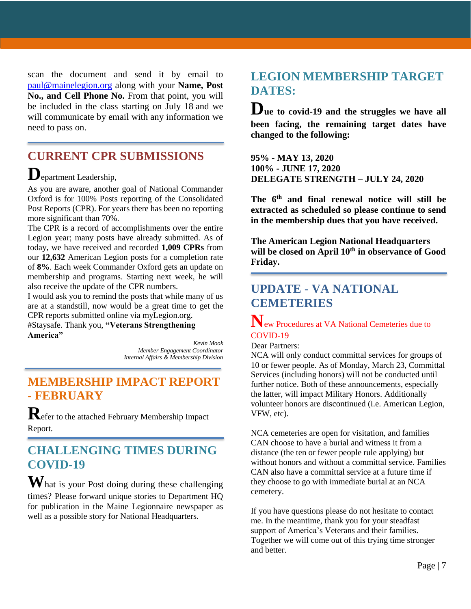scan the document and send it by email to [paul@mainelegion.org](mailto:paul@mainelegion.org) along with your **Name, Post** No., and Cell Phone No. From that point, you will be included in the class starting on July 18 and we will communicate by email with any information we need to pass on.

## **CURRENT CPR SUBMISSIONS**

## **D**epartment Leadership,

As you are aware, another goal of National Commander Oxford is for 100% Posts reporting of the Consolidated Post Reports (CPR). For years there has been no reporting more significant than 70%.

The CPR is a record of accomplishments over the entire Legion year; many posts have already submitted. As of today, we have received and recorded **1,009 CPRs** from our **12,632** American Legion posts for a completion rate of **8%**. Each week Commander Oxford gets an update on membership and programs. Starting next week, he will also receive the update of the CPR numbers.

I would ask you to remind the posts that while many of us are at a standstill, now would be a great time to get the CPR reports submitted online via myLegion.org.

#Staysafe. Thank you, **"Veterans Strengthening America"**

*Kevin Mook Member Engagement Coordinator Internal Affairs & Membership Division*

## **MEMBERSHIP IMPACT REPORT - FEBRUARY**

**R**efer to the attached February Membership Impact Report.

## **CHALLENGING TIMES DURING COVID-19**

**W**hat is your Post doing during these challenging times? Please forward unique stories to Department HQ for publication in the Maine Legionnaire newspaper as well as a possible story for National Headquarters.

#### **LEGION MEMBERSHIP TARGET DATES:**

**Due to covid-19 and the struggles we have all been facing, the remaining target dates have changed to the following:**

**95% - MAY 13, 2020 100% - JUNE 17, 2020 DELEGATE STRENGTH – JULY 24, 2020**

**The 6 th and final renewal notice will still be extracted as scheduled so please continue to send in the membership dues that you have received.**

**The American Legion National Headquarters will be closed on April 10th in observance of Good Friday.** 

## **UPDATE - VA NATIONAL CEMETERIES**

#### **N**ew Procedures at VA National Cemeteries due to COVID-19

Dear Partners:

NCA will only conduct committal services for groups of 10 or fewer people. As of Monday, March 23, Committal Services (including honors) will not be conducted until further notice. Both of these announcements, especially the latter, will impact Military Honors. Additionally volunteer honors are discontinued (i.e. American Legion, VFW, etc).

NCA cemeteries are open for visitation, and families CAN choose to have a burial and witness it from a distance (the ten or fewer people rule applying) but without honors and without a committal service. Families CAN also have a committal service at a future time if they choose to go with immediate burial at an NCA cemetery.

If you have questions please do not hesitate to contact me. In the meantime, thank you for your steadfast support of America's Veterans and their families. Together we will come out of this trying time stronger and better.